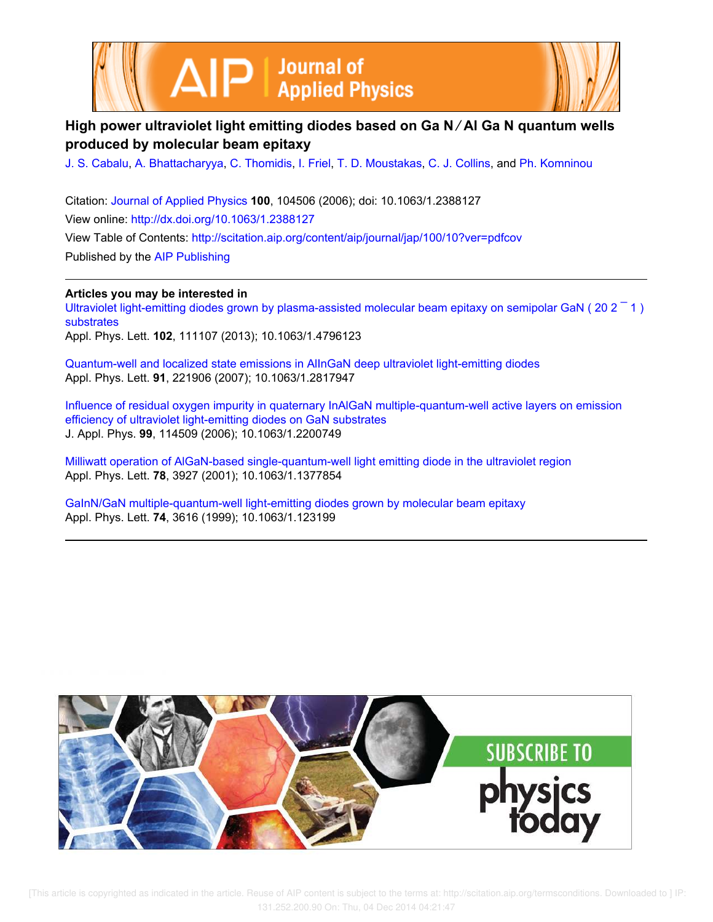



# **High power ultraviolet light emitting diodes based on Ga N ∕ Al Ga N quantum wells produced by molecular beam epitaxy**

J. S. Cabalu, A. Bhattacharyya, C. Thomidis, I. Friel, T. D. Moustakas, C. J. Collins, and Ph. Komninou

Citation: Journal of Applied Physics **100**, 104506 (2006); doi: 10.1063/1.2388127 View online: http://dx.doi.org/10.1063/1.2388127 View Table of Contents: http://scitation.aip.org/content/aip/journal/jap/100/10?ver=pdfcov Published by the AIP Publishing

**Articles you may be interested in**

Ultraviolet light-emitting diodes grown by plasma-assisted molecular beam epitaxy on semipolar GaN ( $202 - 1$ ) substrates

Appl. Phys. Lett. **102**, 111107 (2013); 10.1063/1.4796123

Quantum-well and localized state emissions in AlInGaN deep ultraviolet light-emitting diodes Appl. Phys. Lett. **91**, 221906 (2007); 10.1063/1.2817947

Influence of residual oxygen impurity in quaternary InAlGaN multiple-quantum-well active layers on emission efficiency of ultraviolet light-emitting diodes on GaN substrates J. Appl. Phys. **99**, 114509 (2006); 10.1063/1.2200749

Milliwatt operation of AlGaN-based single-quantum-well light emitting diode in the ultraviolet region Appl. Phys. Lett. **78**, 3927 (2001); 10.1063/1.1377854

GaInN/GaN multiple-quantum-well light-emitting diodes grown by molecular beam epitaxy Appl. Phys. Lett. **74**, 3616 (1999); 10.1063/1.123199

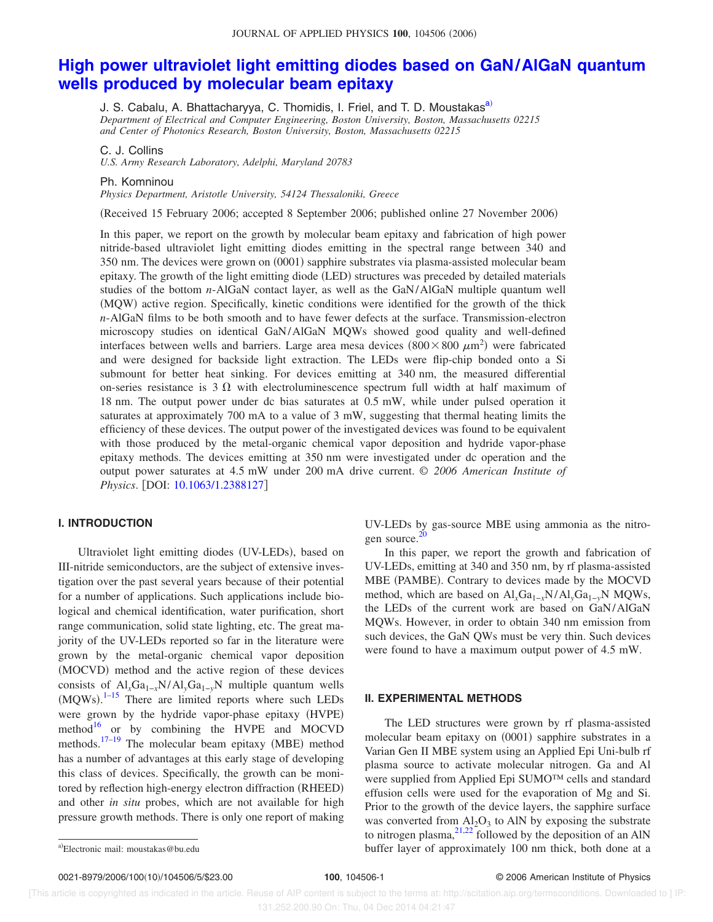## **High power ultraviolet light emitting diodes based on GaN/AlGaN quantum wells produced by molecular beam epitaxy**

J. S. Cabalu, A. Bhattacharyya, C. Thomidis, I. Friel, and T. D. Moustakas<sup>a)</sup> *Department of Electrical and Computer Engineering, Boston University, Boston, Massachusetts 02215 and Center of Photonics Research, Boston University, Boston, Massachusetts 02215*

C. J. Collins

*U.S. Army Research Laboratory, Adelphi, Maryland 20783*

Ph. Komninou

*Physics Department, Aristotle University, 54124 Thessaloniki, Greece*

(Received 15 February 2006; accepted 8 September 2006; published online 27 November 2006)

In this paper, we report on the growth by molecular beam epitaxy and fabrication of high power nitride-based ultraviolet light emitting diodes emitting in the spectral range between 340 and 350 nm. The devices were grown on (0001) sapphire substrates via plasma-assisted molecular beam epitaxy. The growth of the light emitting diode (LED) structures was preceded by detailed materials studies of the bottom *n*-AlGaN contact layer, as well as the GaN/AlGaN multiple quantum well (MQW) active region. Specifically, kinetic conditions were identified for the growth of the thick *n*-AlGaN films to be both smooth and to have fewer defects at the surface. Transmission-electron microscopy studies on identical GaN/AlGaN MQWs showed good quality and well-defined interfaces between wells and barriers. Large area mesa devices  $(800 \times 800 \ \mu m^2)$  were fabricated and were designed for backside light extraction. The LEDs were flip-chip bonded onto a Si submount for better heat sinking. For devices emitting at 340 nm, the measured differential on-series resistance is  $3 \Omega$  with electroluminescence spectrum full width at half maximum of 18 nm. The output power under dc bias saturates at 0.5 mW, while under pulsed operation it saturates at approximately 700 mA to a value of 3 mW, suggesting that thermal heating limits the efficiency of these devices. The output power of the investigated devices was found to be equivalent with those produced by the metal-organic chemical vapor deposition and hydride vapor-phase epitaxy methods. The devices emitting at 350 nm were investigated under dc operation and the output power saturates at 4.5 mW under 200 mA drive current. © *2006 American Institute of Physics.* [DOI: 10.1063/1.2388127]

#### **I. INTRODUCTION**

Ultraviolet light emitting diodes (UV-LEDs), based on III-nitride semiconductors, are the subject of extensive investigation over the past several years because of their potential for a number of applications. Such applications include biological and chemical identification, water purification, short range communication, solid state lighting, etc. The great majority of the UV-LEDs reported so far in the literature were grown by the metal-organic chemical vapor deposition (MOCVD) method and the active region of these devices consists of Al<sub>*x*</sub>Ga<sub>1−*x*</sub>N/Al<sub>*y*</sub>Ga<sub>1−*y*</sub>N multiple quantum wells  $(MQWs).<sup>1-15</sup>$  There are limited reports where such LEDs were grown by the hydride vapor-phase epitaxy (HVPE) method $16$  or by combining the HVPE and MOCVD methods.  $17-19$  The molecular beam epitaxy (MBE) method has a number of advantages at this early stage of developing this class of devices. Specifically, the growth can be monitored by reflection high-energy electron diffraction (RHEED) and other *in situ* probes, which are not available for high pressure growth methods. There is only one report of making

UV-LEDs by gas-source MBE using ammonia as the nitrogen source.<sup>20</sup>

In this paper, we report the growth and fabrication of UV-LEDs, emitting at 340 and 350 nm, by rf plasma-assisted MBE (PAMBE). Contrary to devices made by the MOCVD method, which are based on Al<sub>*x*</sub>Ga<sub>1−*x*</sub>N/Al<sub>*y*</sub>Ga<sub>1−*y*</sub>N MQWs, the LEDs of the current work are based on GaN/AlGaN MQWs. However, in order to obtain 340 nm emission from such devices, the GaN QWs must be very thin. Such devices were found to have a maximum output power of 4.5 mW.

#### **II. EXPERIMENTAL METHODS**

The LED structures were grown by rf plasma-assisted molecular beam epitaxy on (0001) sapphire substrates in a Varian Gen II MBE system using an Applied Epi Uni-bulb rf plasma source to activate molecular nitrogen. Ga and Al were supplied from Applied Epi SUMO™ cells and standard effusion cells were used for the evaporation of Mg and Si. Prior to the growth of the device layers, the sapphire surface was converted from  $A_2O_3$  to AlN by exposing the substrate to nitrogen plasma,  $2^{1,22}$  followed by the deposition of an AlN buffer layer of approximately 100 nm thick, both done at a

Electronic mail: moustakas@bu.edu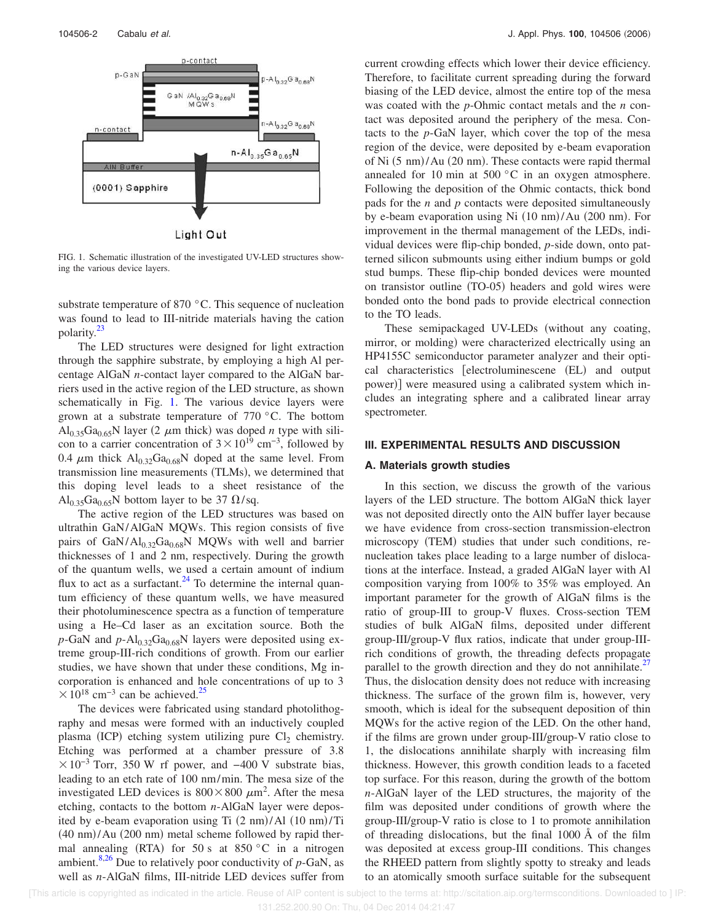

Light Out

FIG. 1. Schematic illustration of the investigated UV-LED structures showing the various device layers.

substrate temperature of 870 °C. This sequence of nucleation was found to lead to III-nitride materials having the cation polarity.<sup>23</sup>

The LED structures were designed for light extraction through the sapphire substrate, by employing a high Al percentage AlGaN *n*-contact layer compared to the AlGaN barriers used in the active region of the LED structure, as shown schematically in Fig. 1. The various device layers were grown at a substrate temperature of 770 °C. The bottom  $Al_{0.35}Ga_{0.65}N$  layer (2  $\mu$ m thick) was doped *n* type with silicon to a carrier concentration of  $3 \times 10^{19}$  cm<sup>-3</sup>, followed by 0.4  $\mu$ m thick  $Al_{0.32}Ga_{0.68}N$  doped at the same level. From transmission line measurements (TLMs), we determined that this doping level leads to a sheet resistance of the  $\text{Al}_{0.35}\text{Ga}_{0.65}\text{N}$  bottom layer to be 37  $\Omega$ /sq.

The active region of the LED structures was based on ultrathin GaN/AlGaN MQWs. This region consists of five pairs of GaN/Al $_{0.32}$ Ga<sub>0.68</sub>N MQWs with well and barrier thicknesses of 1 and 2 nm, respectively. During the growth of the quantum wells, we used a certain amount of indium flux to act as a surfactant. $^{24}$  To determine the internal quantum efficiency of these quantum wells, we have measured their photoluminescence spectra as a function of temperature using a He–Cd laser as an excitation source. Both the  $p$ -GaN and  $p$ -Al<sub>0.32</sub>Ga<sub>0.68</sub>N layers were deposited using extreme group-III-rich conditions of growth. From our earlier studies, we have shown that under these conditions, Mg incorporation is enhanced and hole concentrations of up to 3  $\times 10^{18}$  cm<sup>-3</sup> can be achieved.<sup>25</sup>

The devices were fabricated using standard photolithography and mesas were formed with an inductively coupled plasma (ICP) etching system utilizing pure  $Cl_2$  chemistry. Etching was performed at a chamber pressure of 3.8  $\times 10^{-3}$  Torr, 350 W rf power, and -400 V substrate bias, leading to an etch rate of 100 nm/min. The mesa size of the investigated LED devices is  $800 \times 800 \ \mu \text{m}^2$ . After the mesa etching, contacts to the bottom *n*-AlGaN layer were deposited by e-beam evaporation using Ti (2 nm)/Al (10 nm)/Ti (40 nm)/Au (200 nm) metal scheme followed by rapid thermal annealing (RTA) for 50 s at 850 °C in a nitrogen ambient.<sup>8,26</sup> Due to relatively poor conductivity of  $p$ -GaN, as well as *n*-AlGaN films, III-nitride LED devices suffer from

current crowding effects which lower their device efficiency. Therefore, to facilitate current spreading during the forward biasing of the LED device, almost the entire top of the mesa was coated with the *p*-Ohmic contact metals and the *n* contact was deposited around the periphery of the mesa. Contacts to the *p*-GaN layer, which cover the top of the mesa region of the device, were deposited by e-beam evaporation of Ni (5 nm)/Au (20 nm). These contacts were rapid thermal annealed for 10 min at 500 °C in an oxygen atmosphere. Following the deposition of the Ohmic contacts, thick bond pads for the *n* and *p* contacts were deposited simultaneously by e-beam evaporation using Ni (10 nm)/Au (200 nm). For improvement in the thermal management of the LEDs, individual devices were flip-chip bonded, *p*-side down, onto patterned silicon submounts using either indium bumps or gold stud bumps. These flip-chip bonded devices were mounted on transistor outline (TO-05) headers and gold wires were bonded onto the bond pads to provide electrical connection to the TO leads.

These semipackaged UV-LEDs (without any coating, mirror, or molding) were characterized electrically using an HP4155C semiconductor parameter analyzer and their optical characteristics [electroluminescene (EL) and output power)] were measured using a calibrated system which includes an integrating sphere and a calibrated linear array spectrometer.

#### **III. EXPERIMENTAL RESULTS AND DISCUSSION**

#### **A. Materials growth studies**

In this section, we discuss the growth of the various layers of the LED structure. The bottom AlGaN thick layer was not deposited directly onto the AlN buffer layer because we have evidence from cross-section transmission-electron microscopy (TEM) studies that under such conditions, renucleation takes place leading to a large number of dislocations at the interface. Instead, a graded AlGaN layer with Al composition varying from 100% to 35% was employed. An important parameter for the growth of AlGaN films is the ratio of group-III to group-V fluxes. Cross-section TEM studies of bulk AlGaN films, deposited under different group-III/group-V flux ratios, indicate that under group-IIIrich conditions of growth, the threading defects propagate parallel to the growth direction and they do not annihilate.<sup>27</sup> Thus, the dislocation density does not reduce with increasing thickness. The surface of the grown film is, however, very smooth, which is ideal for the subsequent deposition of thin MQWs for the active region of the LED. On the other hand, if the films are grown under group-III/group-V ratio close to 1, the dislocations annihilate sharply with increasing film thickness. However, this growth condition leads to a faceted top surface. For this reason, during the growth of the bottom *n*-AlGaN layer of the LED structures, the majority of the film was deposited under conditions of growth where the group-III/group-V ratio is close to 1 to promote annihilation of threading dislocations, but the final 1000 Å of the film was deposited at excess group-III conditions. This changes the RHEED pattern from slightly spotty to streaky and leads to an atomically smooth surface suitable for the subsequent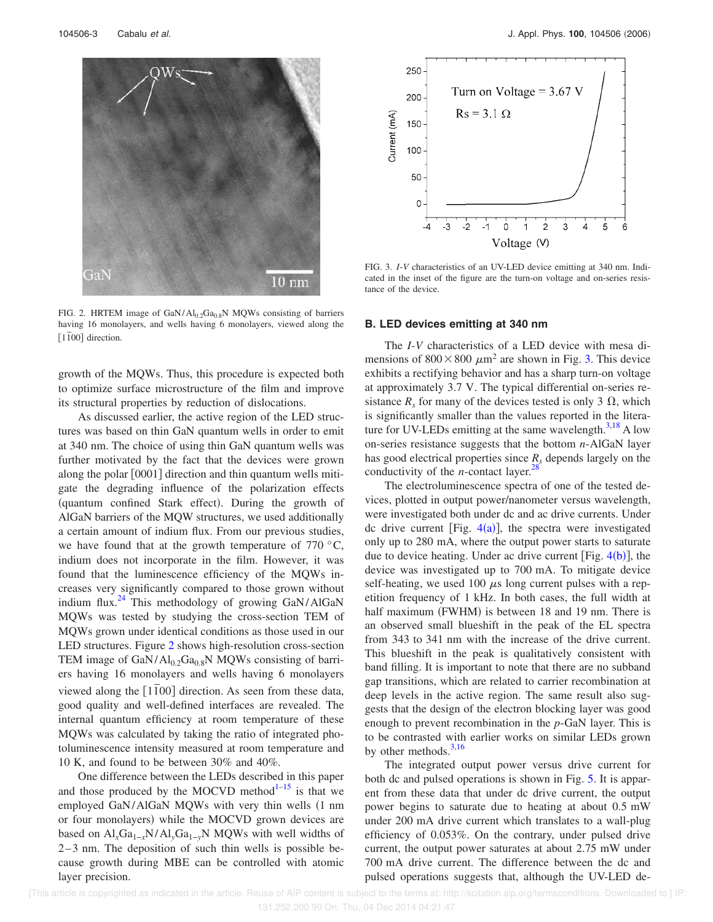

FIG. 2. HRTEM image of  $GaN/Al_{0.2}Ga_{0.8}N$  MQWs consisting of barriers having 16 monolayers, and wells having 6 monolayers, viewed along the [1<sup> $\overline{1}00$ ] direction.</sup>

growth of the MQWs. Thus, this procedure is expected both to optimize surface microstructure of the film and improve its structural properties by reduction of dislocations.

As discussed earlier, the active region of the LED structures was based on thin GaN quantum wells in order to emit at 340 nm. The choice of using thin GaN quantum wells was further motivated by the fact that the devices were grown along the polar [0001] direction and thin quantum wells mitigate the degrading influence of the polarization effects (quantum confined Stark effect). During the growth of AlGaN barriers of the MQW structures, we used additionally a certain amount of indium flux. From our previous studies, we have found that at the growth temperature of  $770\degree C$ , indium does not incorporate in the film. However, it was found that the luminescence efficiency of the MQWs increases very significantly compared to those grown without indium flux.<sup>24</sup> This methodology of growing GaN/AlGaN MQWs was tested by studying the cross-section TEM of MQWs grown under identical conditions as those used in our LED structures. Figure 2 shows high-resolution cross-section TEM image of GaN/Al<sub>0.2</sub>Ga<sub>0.8</sub>N MQWs consisting of barriers having 16 monolayers and wells having 6 monolayers viewed along the [1100] direction. As seen from these data, good quality and well-defined interfaces are revealed. The internal quantum efficiency at room temperature of these MQWs was calculated by taking the ratio of integrated photoluminescence intensity measured at room temperature and 10 K, and found to be between 30% and 40%.

One difference between the LEDs described in this paper and those produced by the MOCVD method $1-15$  is that we employed GaN/AlGaN MQWs with very thin wells (1 nm or four monolayers) while the MOCVD grown devices are based on Al*x*Ga1−*x*N/Al*y*Ga1−*y*N MQWs with well widths of 2–3 nm. The deposition of such thin wells is possible because growth during MBE can be controlled with atomic layer precision.



FIG. 3. *I*-*V* characteristics of an UV-LED device emitting at 340 nm. Indicated in the inset of the figure are the turn-on voltage and on-series resistance of the device.

#### **B. LED devices emitting at 340 nm**

The *I*-*V* characteristics of a LED device with mesa dimensions of  $800 \times 800 \ \mu m^2$  are shown in Fig. 3. This device exhibits a rectifying behavior and has a sharp turn-on voltage at approximately 3.7 V. The typical differential on-series resistance  $R_s$  for many of the devices tested is only 3  $\Omega$ , which is significantly smaller than the values reported in the literature for UV-LEDs emitting at the same wavelength. $3,18$  A low on-series resistance suggests that the bottom *n*-AlGaN layer has good electrical properties since *R<sup>s</sup>* depends largely on the conductivity of the *n*-contact layer.<sup>28</sup>

The electroluminescence spectra of one of the tested devices, plotted in output power/nanometer versus wavelength, were investigated both under dc and ac drive currents. Under dc drive current [Fig.  $4(a)$ ], the spectra were investigated only up to 280 mA, where the output power starts to saturate due to device heating. Under ac drive current [Fig.  $4(b)$ ], the device was investigated up to 700 mA. To mitigate device self-heating, we used 100  $\mu$ s long current pulses with a repetition frequency of 1 kHz. In both cases, the full width at half maximum (FWHM) is between 18 and 19 nm. There is an observed small blueshift in the peak of the EL spectra from 343 to 341 nm with the increase of the drive current. This blueshift in the peak is qualitatively consistent with band filling. It is important to note that there are no subband gap transitions, which are related to carrier recombination at deep levels in the active region. The same result also suggests that the design of the electron blocking layer was good enough to prevent recombination in the *p*-GaN layer. This is to be contrasted with earlier works on similar LEDs grown by other methods. $3,16$ 

The integrated output power versus drive current for both dc and pulsed operations is shown in Fig. 5. It is apparent from these data that under dc drive current, the output power begins to saturate due to heating at about 0.5 mW under 200 mA drive current which translates to a wall-plug efficiency of 0.053%. On the contrary, under pulsed drive current, the output power saturates at about 2.75 mW under 700 mA drive current. The difference between the dc and pulsed operations suggests that, although the UV-LED de-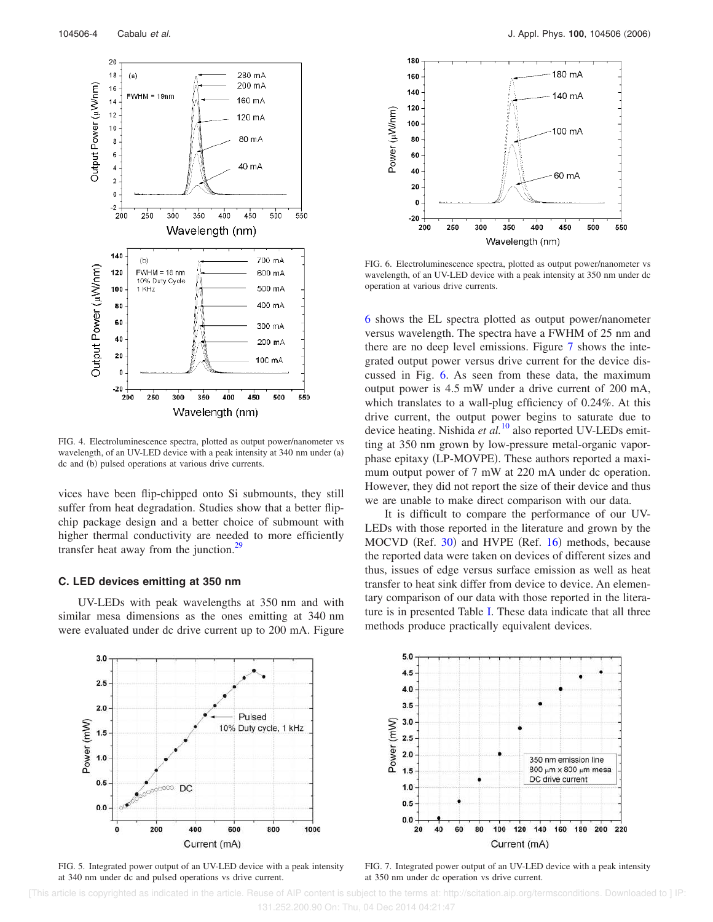

FIG. 4. Electroluminescence spectra, plotted as output power/nanometer vs wavelength, of an UV-LED device with a peak intensity at 340 nm under (a) dc and (b) pulsed operations at various drive currents.

vices have been flip-chipped onto Si submounts, they still suffer from heat degradation. Studies show that a better flipchip package design and a better choice of submount with higher thermal conductivity are needed to more efficiently transfer heat away from the junction.<sup>29</sup>

#### **C. LED devices emitting at 350 nm**

UV-LEDs with peak wavelengths at 350 nm and with similar mesa dimensions as the ones emitting at 340 nm were evaluated under dc drive current up to 200 mA. Figure





FIG. 6. Electroluminescence spectra, plotted as output power/nanometer vs wavelength, of an UV-LED device with a peak intensity at 350 nm under dc operation at various drive currents.

6 shows the EL spectra plotted as output power/nanometer versus wavelength. The spectra have a FWHM of 25 nm and there are no deep level emissions. Figure 7 shows the integrated output power versus drive current for the device discussed in Fig. 6. As seen from these data, the maximum output power is 4.5 mW under a drive current of 200 mA, which translates to a wall-plug efficiency of 0.24%. At this drive current, the output power begins to saturate due to device heating. Nishida *et al.*<sup>10</sup> also reported UV-LEDs emitting at 350 nm grown by low-pressure metal-organic vaporphase epitaxy (LP-MOVPE). These authors reported a maximum output power of 7 mW at 220 mA under dc operation. However, they did not report the size of their device and thus we are unable to make direct comparison with our data.

It is difficult to compare the performance of our UV-LEDs with those reported in the literature and grown by the MOCVD (Ref. 30) and HVPE (Ref. 16) methods, because the reported data were taken on devices of different sizes and thus, issues of edge versus surface emission as well as heat transfer to heat sink differ from device to device. An elementary comparison of our data with those reported in the literature is in presented Table I. These data indicate that all three methods produce practically equivalent devices.



FIG. 5. Integrated power output of an UV-LED device with a peak intensity at 340 nm under dc and pulsed operations vs drive current.



FIG. 7. Integrated power output of an UV-LED device with a peak intensity at 350 nm under dc operation vs drive current.

 [This article is copyrighted as indicated in the article. Reuse of AIP content is subject to the terms at: http://scitation.aip.org/termsconditions. Downloaded to ] IP: 131.252.200.90 On: Thu, 04 Dec 2014 04:21:47